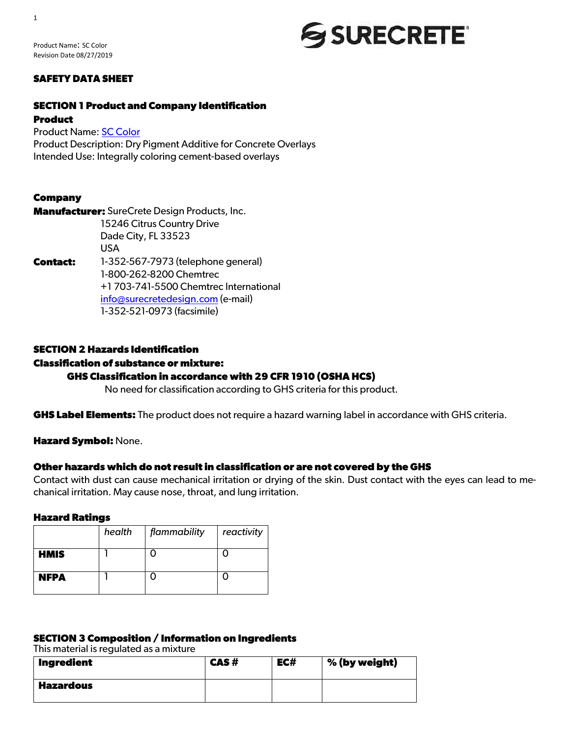Product Name: SC Color Revision Date 08/27/2019

#### **SAFETY DATA SHEET**

#### **SECTION 1 Product and Company Identification**

#### **Product**

Product Name: SC Color Product Description: Dry Pigment Additive for Concrete Overlays Intended Use: Integrally coloring cement-based overlays

#### **Company**

**Manufacturer:** SureCrete Design Products, Inc. 15246 Citrus Country Drive Dade City, FL 33523 USA **Contact:** 1-352-567-7973 (telephone general) 1-800-262-8200 Chemtrec +1 703-741-5500 Chemtrec International info@surecretedesign.com (e-mail) 1-352-521-0973 (facsimile)

### **SECTION 2 Hazards Identification**

#### **Classification of substance or mixture:**

#### **GHS Classification in accordance with 29 CFR 1910 (OSHA HCS)**

No need for classification according to GHS criteria for this product.

**GHS Label Elements:** The product does not require a hazard warning label in accordance with GHS criteria.

**Hazard Symbol:** None.

#### **Other hazards which do not result in classification or are not covered by the GHS**

Contact with dust can cause mechanical irritation or drying of the skin. Dust contact with the eyes can lead to mechanical irritation. May cause nose, throat, and lung irritation.

SSURECRETE®

#### **Hazard Ratings**

|             | health | flammability | reactivity |
|-------------|--------|--------------|------------|
| <b>HMIS</b> |        |              |            |
| <b>NFPA</b> |        |              |            |

#### **SECTION 3 Composition / Information on Ingredients**

This material is regulated as a mixture

| Ingredient       | CAS# | EC# | % (by weight) |
|------------------|------|-----|---------------|
| <b>Hazardous</b> |      |     |               |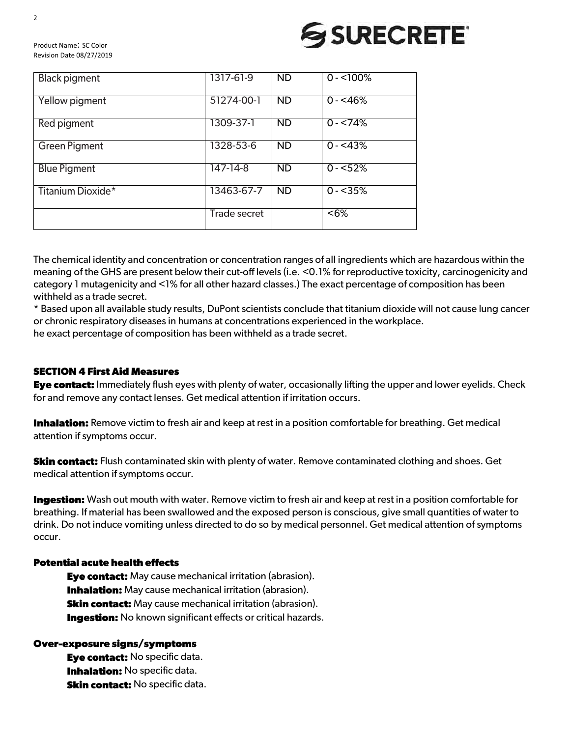Product Name: SC Color Revision Date 08/27/2019

| <b>Black pigment</b> | 1317-61-9           | <b>ND</b>       | $0 - 100\%$ |
|----------------------|---------------------|-----------------|-------------|
| Yellow pigment       | 51274-00-1          | <b>ND</b>       | $0 - 46%$   |
| Red pigment          | 1309-37-1           | <b>ND</b>       | $0 - 74%$   |
| <b>Green Pigment</b> | 1328-53-6           | <b>ND</b>       | $0 - 43%$   |
| <b>Blue Pigment</b>  | 147-14-8            | $\overline{ND}$ | $0 - 52%$   |
| Titanium Dioxide*    | 13463-67-7          | <b>ND</b>       | $0 - 35%$   |
|                      | <b>Trade secret</b> |                 | $<6\%$      |

The chemical identity and concentration or concentration ranges of all ingredients which are hazardous within the meaning of the GHS are present below their cut-off levels (i.e. <0.1% for reproductive toxicity, carcinogenicity and category 1 mutagenicity and <1% for all other hazard classes.) The exact percentage of composition has been withheld as a trade secret.

\* Based upon all available study results, DuPont scientists conclude that titanium dioxide will not cause lung cancer or chronic respiratory diseases in humans at concentrations experienced in the workplace. he exact percentage of composition has been withheld as a trade secret.

#### **SECTION 4 First Aid Measures**

**Eye contact:** Immediately flush eyes with plenty of water, occasionally lifting the upper and lower eyelids. Check for and remove any contact lenses. Get medical attention if irritation occurs.

**Inhalation:** Remove victim to fresh air and keep at rest in a position comfortable for breathing. Get medical attention if symptoms occur.

**Skin contact:** Flush contaminated skin with plenty of water. Remove contaminated clothing and shoes. Get medical attention if symptoms occur.

**Ingestion:** Wash out mouth with water. Remove victim to fresh air and keep at rest in a position comfortable for breathing. If material has been swallowed and the exposed person is conscious, give small quantities of water to drink. Do not induce vomiting unless directed to do so by medical personnel. Get medical attention of symptoms occur.

#### **Potential acute health effects**

**Eye contact:** May cause mechanical irritation (abrasion). **Inhalation:** May cause mechanical irritation (abrasion). **Skin contact:** May cause mechanical irritation (abrasion). **Ingestion:** No known significant effects or critical hazards.

#### **Over-exposure signs/symptoms**

**Eye contact:** No specific data. **Inhalation:** No specific data. **Skin contact:** No specific data.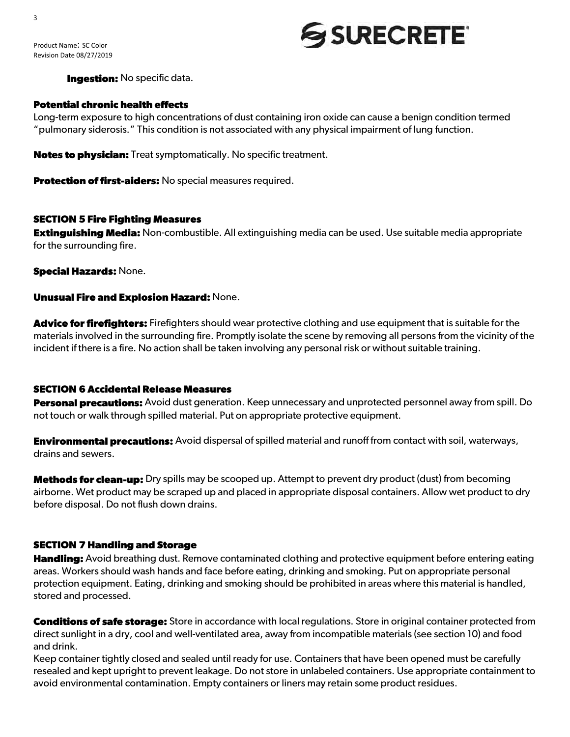3

## **SSURECRETE**

**Ingestion:** No specific data.

#### **Potential chronic health effects**

Long-term exposure to high concentrations of dust containing iron oxide can cause a benign condition termed "pulmonary siderosis." This condition is not associated with any physical impairment of lung function.

**Notes to physician:** Treat symptomatically. No specific treatment.

**Protection of first-aiders:** No special measures required.

#### **SECTION 5 Fire Fighting Measures**

**Extinguishing Media:** Non-combustible. All extinguishing media can be used. Use suitable media appropriate for the surrounding fire.

**Special Hazards:** None.

#### **Unusual Fire and Explosion Hazard:** None.

**Advice for firefighters:** Firefighters should wear protective clothing and use equipment that is suitable for the materials involved in the surrounding fire. Promptly isolate the scene by removing all persons from the vicinity of the incident if there is a fire. No action shall be taken involving any personal risk or without suitable training.

#### **SECTION 6 Accidental Release Measures**

**Personal precautions:** Avoid dust generation. Keep unnecessary and unprotected personnel away from spill. Do not touch or walk through spilled material. Put on appropriate protective equipment.

**Environmental precautions:** Avoid dispersal of spilled material and runoff from contact with soil, waterways, drains and sewers.

**Methods for clean-up:** Dry spills may be scooped up. Attempt to prevent dry product (dust) from becoming airborne. Wet product may be scraped up and placed in appropriate disposal containers. Allow wet product to dry before disposal. Do not flush down drains.

#### **SECTION 7 Handling and Storage**

**Handling:** Avoid breathing dust. Remove contaminated clothing and protective equipment before entering eating areas. Workers should wash hands and face before eating, drinking and smoking. Put on appropriate personal protection equipment. Eating, drinking and smoking should be prohibited in areas where this material is handled, stored and processed.

**Conditions of safe storage:** Store in accordance with local regulations. Store in original container protected from direct sunlight in a dry, cool and well-ventilated area, away from incompatible materials (see section 10) and food and drink.

Keep container tightly closed and sealed until ready for use. Containers that have been opened must be carefully resealed and kept upright to prevent leakage. Do not store in unlabeled containers. Use appropriate containment to avoid environmental contamination. Empty containers or liners may retain some product residues.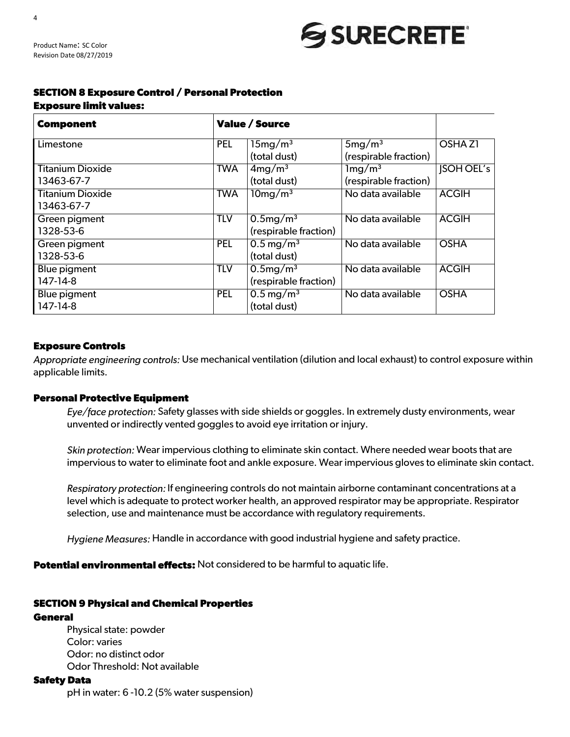### **SECTION 8 Exposure Control / Personal Protection**

#### **Exposure limit values:**

Product Name: SC Color Revision Date 08/27/2019

| <b>Component</b>                      | <b>Value / Source</b> |                                              |                                                   |                    |
|---------------------------------------|-----------------------|----------------------------------------------|---------------------------------------------------|--------------------|
| Limestone                             | <b>PEL</b>            | $15mg/m^3$<br>(total dust)                   | $5mg/m^3$<br>(respirable fraction)                | OSHA <sub>Z1</sub> |
| <b>Titanium Dioxide</b><br>13463-67-7 | <b>TWA</b>            | 4mg/m <sup>3</sup><br>(total dust)           | $1 \text{mg}/\text{m}^3$<br>(respirable fraction) | <b>JSOH OEL's</b>  |
| <b>Titanium Dioxide</b><br>13463-67-7 | <b>TWA</b>            | $10mg/m^3$                                   | No data available                                 | <b>ACGIH</b>       |
| Green pigment<br>1328-53-6            | <b>TLV</b>            | $0.5 \text{mg/m}^3$<br>(respirable fraction) | No data available                                 | <b>ACGIH</b>       |
| Green pigment<br>1328-53-6            | PEL                   | $0.5 \,\mathrm{mg/m^3}$<br>(total dust)      | No data available                                 | <b>OSHA</b>        |
| <b>Blue pigment</b><br>147-14-8       | <b>TLV</b>            | $0.5 \text{mg/m}^3$<br>(respirable fraction) | No data available                                 | <b>ACGIH</b>       |
| Blue pigment<br>147-14-8              | <b>PEL</b>            | $0.5 \,\mathrm{mg/m^3}$<br>(total dust)      | No data available                                 | <b>OSHA</b>        |

#### **Exposure Controls**

*Appropriate engineering controls:* Use mechanical ventilation (dilution and local exhaust) to control exposure within applicable limits.

#### **Personal Protective Equipment**

*Eye/face protection:* Safety glasses with side shields or goggles. In extremely dusty environments, wear unvented or indirectly vented goggles to avoid eye irritation or injury.

*Skin protection:* Wear impervious clothing to eliminate skin contact. Where needed wear boots that are impervious to water to eliminate foot and ankle exposure. Wear impervious gloves to eliminate skin contact.

*Respiratory protection:* If engineering controls do not maintain airborne contaminant concentrations at a level which is adequate to protect worker health, an approved respirator may be appropriate. Respirator selection, use and maintenance must be accordance with regulatory requirements.

*Hygiene Measures:* Handle in accordance with good industrial hygiene and safety practice.

**Potential environmental effects:** Not considered to be harmful to aquatic life.

#### **SECTION 9 Physical and Chemical Properties**

#### **General**

Physical state: powder Color: varies Odor: no distinct odor Odor Threshold: Not available

#### **Safety Data**

pH in water: 6 -10.2 (5% water suspension)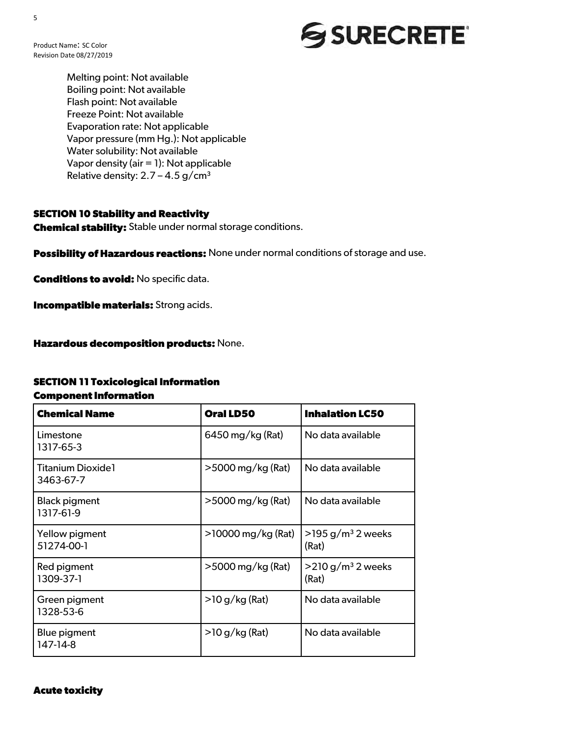Product Name: SC Color Revision Date 08/27/2019

> Melting point: Not available Boiling point: Not available Flash point: Not available Freeze Point: Not available Evaporation rate: Not applicable Vapor pressure (mm Hg.): Not applicable Water solubility: Not available Vapor density (air = 1): Not applicable Relative density:  $2.7 - 4.5$  g/cm<sup>3</sup>

#### **SECTION 10 Stability and Reactivity**

**Chemical stability:** Stable under normal storage conditions.

**Possibility of Hazardous reactions:** None under normal conditions of storage and use.

**Conditions to avoid:** No specific data.

**Incompatible materials:** Strong acids.

**Hazardous decomposition products:** None.

#### **SECTION 11 Toxicological Information**

#### **Component Information**

| <b>Chemical Name</b>                  | <b>Oral LD50</b>     | <b>Inhalation LC50</b>                    |
|---------------------------------------|----------------------|-------------------------------------------|
| Limestone<br>1317-65-3                | 6450 mg/kg (Rat)     | No data available                         |
| <b>Titanium Dioxide1</b><br>3463-67-7 | $>$ 5000 mg/kg (Rat) | No data available                         |
| <b>Black pigment</b><br>1317-61-9     | $>$ 5000 mg/kg (Rat) | No data available                         |
| Yellow pigment<br>51274-00-1          | >10000 mg/kg (Rat)   | $>$ 195 g/m <sup>3</sup> 2 weeks<br>(Rat) |
| Red pigment<br>1309-37-1              | >5000 mg/kg (Rat)    | $>$ 210 g/m <sup>3</sup> 2 weeks<br>(Rat) |
| Green pigment<br>1328-53-6            | $>$ 10 g/kg (Rat)    | No data available                         |
| Blue pigment<br>147-14-8              | $>$ 10 g/kg (Rat)    | No data available                         |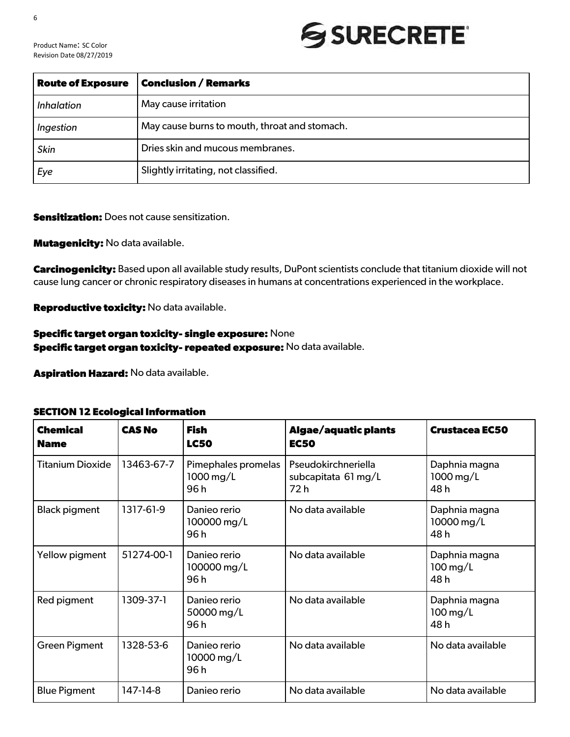Product Name: SC Color Revision Date 08/27/2019

| <b>Route of Exposure</b> | <b>Conclusion / Remarks</b>                   |  |  |
|--------------------------|-----------------------------------------------|--|--|
| <i>Inhalation</i>        | May cause irritation                          |  |  |
| Ingestion                | May cause burns to mouth, throat and stomach. |  |  |
| <b>Skin</b>              | Dries skin and mucous membranes.              |  |  |
| Eye                      | Slightly irritating, not classified.          |  |  |

#### **Sensitization:** Does not cause sensitization.

#### **Mutagenicity:** No data available.

**Carcinogenicity:** Based upon all available study results, DuPont scientists conclude that titanium dioxide will not cause lung cancer or chronic respiratory diseases in humans at concentrations experienced in the workplace.

**Reproductive toxicity:** No data available.

#### **Specific target organ toxicity- single exposure:** None **Specific target organ toxicity- repeated exposure:** No data available.

**Aspiration Hazard:** No data available.

#### **SECTION 12 Ecological Information**

| <b>Chemical</b><br><b>Name</b> | <b>CAS No</b> | <b>Fish</b><br><b>LC50</b>              | <b>Algae/aquatic plants</b><br><b>EC50</b>         | <b>Crustacea EC50</b>                         |
|--------------------------------|---------------|-----------------------------------------|----------------------------------------------------|-----------------------------------------------|
| <b>Titanium Dioxide</b>        | 13463-67-7    | Pimephales promelas<br>1000 mg/L<br>96h | Pseudokirchneriella<br>subcapitata 61 mg/L<br>72 h | Daphnia magna<br>1000 mg/L<br>48h             |
| <b>Black pigment</b>           | 1317-61-9     | Danieo rerio<br>100000 mg/L<br>96 h     | No data available                                  | Daphnia magna<br>10000 mg/L<br>48h            |
| Yellow pigment                 | 51274-00-1    | Danieo rerio<br>100000 mg/L<br>96h      | No data available                                  | Daphnia magna<br>$100 \,\mathrm{mg/L}$<br>48h |
| Red pigment                    | 1309-37-1     | Danieo rerio<br>50000 mg/L<br>96h       | No data available                                  | Daphnia magna<br>$100 \,\mathrm{mg/L}$<br>48h |
| <b>Green Pigment</b>           | 1328-53-6     | Danieo rerio<br>10000 mg/L<br>96h       | No data available                                  | No data available                             |
| <b>Blue Pigment</b>            | 147-14-8      | Danieo rerio                            | No data available                                  | No data available                             |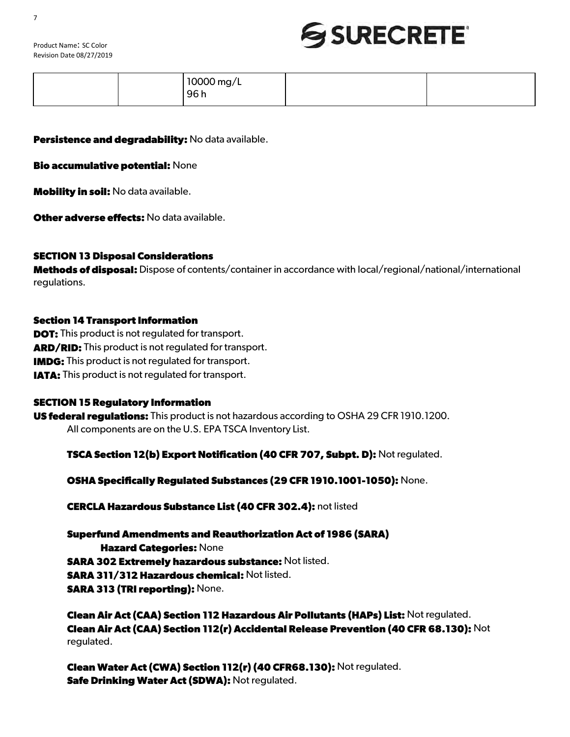

| ിററററ<br>10000 mg/L<br>96 h |  |
|-----------------------------|--|
|                             |  |

**Persistence and degradability:** No data available.

**Bio accumulative potential:** None

**Mobility in soil:** No data available.

**Other adverse effects:** No data available.

#### **SECTION 13 Disposal Considerations**

**Methods of disposal:** Dispose of contents/container in accordance with local/regional/national/international regulations.

#### **Section 14 Transport Information**

**DOT:** This product is not regulated for transport. **ARD/RID:** This product is not regulated for transport. **IMDG:** This product is not regulated for transport. **IATA:** This product is not regulated for transport.

#### **SECTION 15 Regulatory Information**

**US federal regulations:** This product is not hazardous according to OSHA 29 CFR 1910.1200. All components are on the U.S. EPA TSCA Inventory List.

**TSCA Section 12(b) Export Notification (40 CFR 707, Subpt. D):** Not regulated.

**OSHA Specifically Regulated Substances (29 CFR 1910.1001-1050):** None.

**CERCLA Hazardous Substance List (40 CFR 302.4):** not listed

**Superfund Amendments and Reauthorization Act of 1986 (SARA) Hazard Categories:** None **SARA 302 Extremely hazardous substance:** Not listed. **SARA 311/312 Hazardous chemical:** Not listed. **SARA 313 (TRI reporting):** None.

**Clean Air Act (CAA) Section 112 Hazardous Air Pollutants (HAPs) List:** Not regulated. **Clean Air Act (CAA) Section 112(r) Accidental Release Prevention (40 CFR 68.130):** Not regulated.

**Clean Water Act (CWA) Section 112(r) (40 CFR68.130):** Not regulated. **Safe Drinking Water Act (SDWA):** Not regulated.